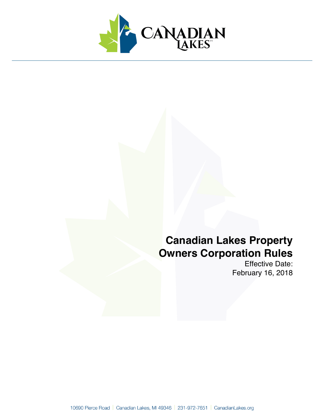

# **Canadian Lakes Property Owners Corporation Rules**

Effective Date: February 16, 2018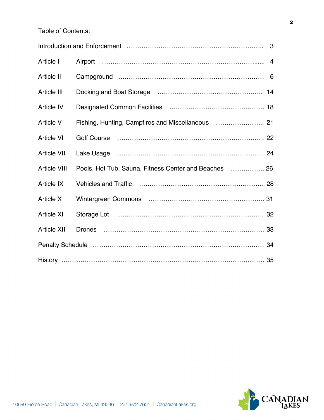Table of Contents:

| Article I                                                                                                                                                                                                                      |                                                       |  |  |  |
|--------------------------------------------------------------------------------------------------------------------------------------------------------------------------------------------------------------------------------|-------------------------------------------------------|--|--|--|
| Article II                                                                                                                                                                                                                     |                                                       |  |  |  |
| Article III                                                                                                                                                                                                                    |                                                       |  |  |  |
| Article IV                                                                                                                                                                                                                     |                                                       |  |  |  |
| <b>Article V</b>                                                                                                                                                                                                               |                                                       |  |  |  |
| <b>Article VI</b>                                                                                                                                                                                                              |                                                       |  |  |  |
| <b>Article VII</b>                                                                                                                                                                                                             |                                                       |  |  |  |
| <b>Article VIII</b>                                                                                                                                                                                                            | Pools, Hot Tub, Sauna, Fitness Center and Beaches  26 |  |  |  |
| <b>Article IX</b>                                                                                                                                                                                                              |                                                       |  |  |  |
| <b>Article X</b>                                                                                                                                                                                                               |                                                       |  |  |  |
| <b>Article XI</b>                                                                                                                                                                                                              |                                                       |  |  |  |
| <b>Article XII</b>                                                                                                                                                                                                             |                                                       |  |  |  |
| Penalty Schedule manufactured contains and the control of the control of the control of the control of the control of the control of the control of the control of the control of the control of the control of the control of |                                                       |  |  |  |
|                                                                                                                                                                                                                                |                                                       |  |  |  |

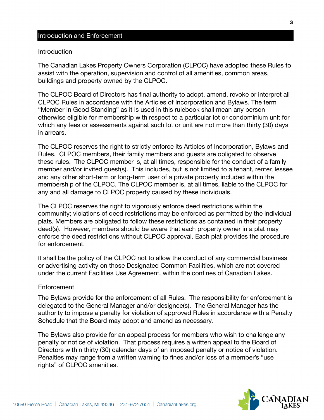#### Introduction and Enforcement

#### Introduction

The Canadian Lakes Property Owners Corporation (CLPOC) have adopted these Rules to assist with the operation, supervision and control of all amenities, common areas, buildings and property owned by the CLPOC.

The CLPOC Board of Directors has final authority to adopt, amend, revoke or interpret all CLPOC Rules in accordance with the Articles of Incorporation and Bylaws. The term "Member In Good Standing" as it is used in this rulebook shall mean any person otherwise eligible for membership with respect to a particular lot or condominium unit for which any fees or assessments against such lot or unit are not more than thirty (30) days in arrears.

The CLPOC reserves the right to strictly enforce its Articles of Incorporation, Bylaws and Rules. CLPOC members, their family members and guests are obligated to observe these rules. The CLPOC member is, at all times, responsible for the conduct of a family member and/or invited guest(s). This includes, but is not limited to a tenant, renter, lessee and any other short-term or long-term user of a private property included within the membership of the CLPOC. The CLPOC member is, at all times, liable to the CLPOC for any and all damage to CLPOC property caused by these individuals.

The CLPOC reserves the right to vigorously enforce deed restrictions within the community; violations of deed restrictions may be enforced as permitted by the individual plats. Members are obligated to follow these restrictions as contained in their property deed(s). However, members should be aware that each property owner in a plat may enforce the deed restrictions without CLPOC approval. Each plat provides the procedure for enforcement.

It shall be the policy of the CLPOC not to allow the conduct of any commercial business or advertising activity on those Designated Common Facilities, which are not covered under the current Facilities Use Agreement, within the confines of Canadian Lakes.

#### Enforcement

The Bylaws provide for the enforcement of all Rules. The responsibility for enforcement is delegated to the General Manager and/or designee(s). The General Manager has the authority to impose a penalty for violation of approved Rules in accordance with a Penalty Schedule that the Board may adopt and amend as necessary.

The Bylaws also provide for an appeal process for members who wish to challenge any penalty or notice of violation. That process requires a written appeal to the Board of Directors within thirty (30) calendar days of an imposed penalty or notice of violation. Penalties may range from a written warning to fines and/or loss of a member's "use rights" of CLPOC amenities.



3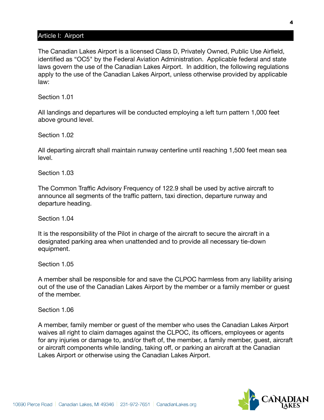## Article I: Airport

The Canadian Lakes Airport is a licensed Class D, Privately Owned, Public Use Airfield, identified as "OC5" by the Federal Aviation Administration. Applicable federal and state laws govern the use of the Canadian Lakes Airport. In addition, the following regulations apply to the use of the Canadian Lakes Airport, unless otherwise provided by applicable law:

Section 1.01

All landings and departures will be conducted employing a left turn pattern 1,000 feet above ground level.

Section 1.02

All departing aircraft shall maintain runway centerline until reaching 1,500 feet mean sea level.

Section 1.03

The Common Traffic Advisory Frequency of 122.9 shall be used by active aircraft to announce all segments of the traffic pattern, taxi direction, departure runway and departure heading.

Section 1.04

It is the responsibility of the Pilot in charge of the aircraft to secure the aircraft in a designated parking area when unattended and to provide all necessary tie-down equipment.

Section 1.05

A member shall be responsible for and save the CLPOC harmless from any liability arising out of the use of the Canadian Lakes Airport by the member or a family member or guest of the member.

Section 1.06

A member, family member or guest of the member who uses the Canadian Lakes Airport waives all right to claim damages against the CLPOC, its officers, employees or agents for any injuries or damage to, and/or theft of, the member, a family member, guest, aircraft or aircraft components while landing, taking off, or parking an aircraft at the Canadian Lakes Airport or otherwise using the Canadian Lakes Airport.

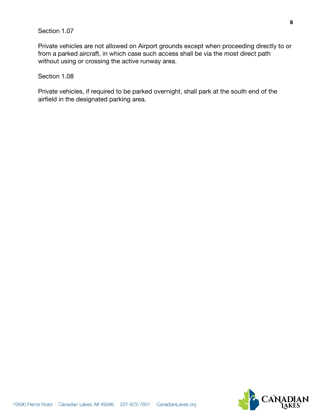## Section 1.07

Private vehicles are not allowed on Airport grounds except when proceeding directly to or from a parked aircraft, in which case such access shall be via the most direct path without using or crossing the active runway area.

### Section 1.08

Private vehicles, if required to be parked overnight, shall park at the south end of the airfield in the designated parking area.

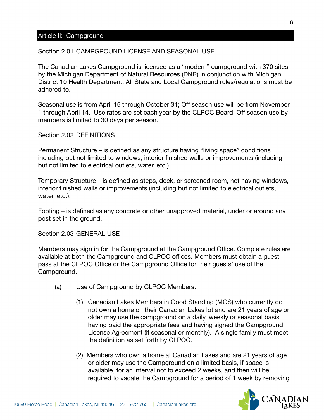## Article II: Campground

#### Section 2.01 CAMPGROUND LICENSE AND SEASONAL USE

The Canadian Lakes Campground is licensed as a "modern" campground with 370 sites by the Michigan Department of Natural Resources (DNR) in conjunction with Michigan District 10 Health Department. All State and Local Campground rules/regulations must be adhered to.

Seasonal use is from April 15 through October 31; Off season use will be from November 1 through April 14. Use rates are set each year by the CLPOC Board. Off season use by members is limited to 30 days per season.

#### Section 2.02 DEFINITIONS

Permanent Structure – is defined as any structure having "living space" conditions including but not limited to windows, interior finished walls or improvements (including but not limited to electrical outlets, water, etc.).

Temporary Structure – is defined as steps, deck, or screened room, not having windows, interior finished walls or improvements (including but not limited to electrical outlets, water, etc.).

Footing – is defined as any concrete or other unapproved material, under or around any post set in the ground.

Section 2.03 GENERAL USE

Members may sign in for the Campground at the Campground Office. Complete rules are available at both the Campground and CLPOC offices. Members must obtain a guest pass at the CLPOC Office or the Campground Office for their guests' use of the Campground.

- (a) Use of Campground by CLPOC Members:
	- (1) Canadian Lakes Members in Good Standing (MGS) who currently do not own a home on their Canadian Lakes lot and are 21 years of age or older may use the campground on a daily, weekly or seasonal basis having paid the appropriate fees and having signed the Campground License Agreement (if seasonal or monthly). A single family must meet the definition as set forth by CLPOC.
	- (2) Members who own a home at Canadian Lakes and are 21 years of age or older may use the Campground on a limited basis, if space is available, for an interval not to exceed 2 weeks, and then will be required to vacate the Campground for a period of 1 week by removing

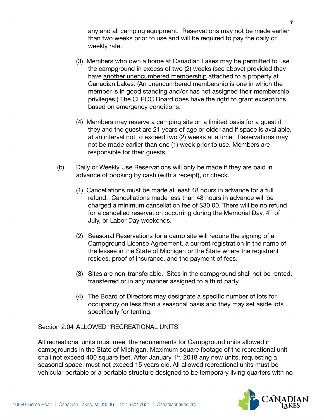any and all camping equipment. Reservations may not be made earlier than two weeks prior to use and will be required to pay the daily or weekly rate.

- (3) Members who own a home at Canadian Lakes may be permitted to use the campground in excess of two (2) weeks (see above) provided they have another unencumbered membership attached to a property at Canadian Lakes. (An unencumbered membership is one in which the member is in good standing and/or has not assigned their membership privileges.) The CLPOC Board does have the right to grant exceptions based on emergency conditions.
- (4) Members may reserve a camping site on a limited basis for a guest if they and the guest are 21 years of age or older and if space is available, at an interval not to exceed two (2) weeks at a time. Reservations may not be made earlier than one (1) week prior to use. Members are responsible for their guests.
- (b) Daily or Weekly Use Reservations will only be made if they are paid in advance of booking by cash (with a receipt), or check.
	- (1) Cancellations must be made at least 48 hours in advance for a full refund. Cancellations made less than 48 hours in advance will be charged a minimum cancellation fee of \$30.00. There will be no refund for a cancelled reservation occurring during the Memorial Day,  $4<sup>th</sup>$  of July, or Labor Day weekends.
	- (2) Seasonal Reservations for a camp site will require the signing of a Campground License Agreement, a current registration in the name of the lessee in the State of Michigan or the State where the registrant resides, proof of insurance, and the payment of fees.
	- (3) Sites are non-transferable. Sites in the campground shall not be rented, transferred or in any manner assigned to a third party.
	- (4) The Board of Directors may designate a specific number of lots for occupancy on less than a seasonal basis and they may set aside lots specifically for tenting.

Section 2.04 ALLOWED "RECREATIONAL UNITS"

All recreational units must meet the requirements for Campground units allowed in campgrounds in the State of Michigan. Maximum square footage of the recreational unit shall not exceed 400 square feet. After January 1<sup>st</sup>, 2018 any new units, requesting a seasonal space, must not exceed 15 years old. All allowed recreational units must be vehicular portable or a portable structure designed to be temporary living quarters with no

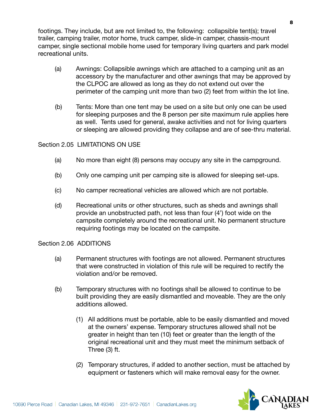footings. They include, but are not limited to, the following: collapsible tent(s); travel trailer, camping trailer, motor home, truck camper, slide-in camper, chassis-mount camper, single sectional mobile home used for temporary living quarters and park model recreational units.

- (a) Awnings: Collapsible awnings which are attached to a camping unit as an accessory by the manufacturer and other awnings that may be approved by the CLPOC are allowed as long as they do not extend out over the perimeter of the camping unit more than two (2) feet from within the lot line.
- (b) Tents: More than one tent may be used on a site but only one can be used for sleeping purposes and the 8 person per site maximum rule applies here as well. Tents used for general, awake activities and not for living quarters or sleeping are allowed providing they collapse and are of see-thru material.

## Section 2.05 LIMITATIONS ON USE

- (a) No more than eight (8) persons may occupy any site in the campground.
- (b) Only one camping unit per camping site is allowed for sleeping set-ups.
- (c) No camper recreational vehicles are allowed which are not portable.
- (d) Recreational units or other structures, such as sheds and awnings shall provide an unobstructed path, not less than four (4') foot wide on the campsite completely around the recreational unit. No permanent structure requiring footings may be located on the campsite.

#### Section 2.06 ADDITIONS

- (a) Permanent structures with footings are not allowed. Permanent structures that were constructed in violation of this rule will be required to rectify the violation and/or be removed.
- (b) Temporary structures with no footings shall be allowed to continue to be built providing they are easily dismantled and moveable. They are the only additions allowed.
	- (1) All additions must be portable, able to be easily dismantled and moved at the owners' expense. Temporary structures allowed shall not be greater in height than ten (10) feet or greater than the length of the original recreational unit and they must meet the minimum setback of Three (3) ft.
	- (2) Temporary structures, if added to another section, must be attached by equipment or fasteners which will make removal easy for the owner.

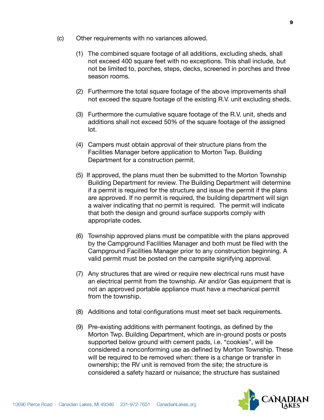- (c) Other requirements with no variances allowed.
	- (1) The combined square footage of all additions, excluding sheds, shall not exceed 400 square feet with no exceptions. This shall include, but not be limited to, porches, steps, decks, screened in porches and three season rooms.
	- (2) Furthermore the total square footage of the above improvements shall not exceed the square footage of the existing R.V. unit excluding sheds.
	- (3) Furthermore the cumulative square footage of the R.V. unit, sheds and additions shall not exceed 50% of the square footage of the assigned lot.
	- (4) Campers must obtain approval of their structure plans from the Facilities Manager before application to Morton Twp. Building Department for a construction permit.
	- (5) If approved, the plans must then be submitted to the Morton Township Building Department for review. The Building Department will determine if a permit is required for the structure and issue the permit if the plans are approved. If no permit is required, the building department will sign a waiver indicating that no permit is required. The permit will indicate that both the design and ground surface supports comply with appropriate codes.
	- (6) Township approved plans must be compatible with the plans approved by the Campground Facilities Manager and both must be filed with the Campground Facilities Manager prior to any construction beginning. A valid permit must be posted on the campsite signifying approval.
	- (7) Any structures that are wired or require new electrical runs must have an electrical permit from the township. Air and/or Gas equipment that is not an approved portable appliance must have a mechanical permit from the township.
	- (8) Additions and total configurations must meet set back requirements.
	- (9) Pre-existing additions with permanent footings, as defined by the Morton Twp. Building Department, which are in-ground posts or posts supported below ground with cement pads, i.e. "cookies", will be considered a nonconforming use as defined by Morton Township. These will be required to be removed when: there is a change or transfer in ownership; the RV unit is removed from the site; the structure is considered a safety hazard or nuisance; the structure has sustained

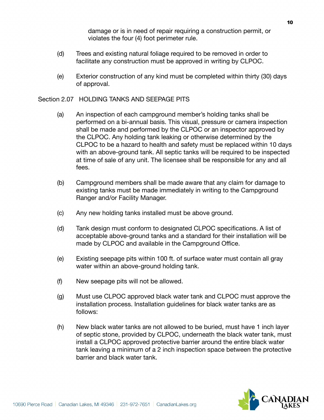damage or is in need of repair requiring a construction permit, or violates the four (4) foot perimeter rule.

- (d) Trees and existing natural foliage required to be removed in order to facilitate any construction must be approved in writing by CLPOC.
- (e) Exterior construction of any kind must be completed within thirty (30) days of approval.

## Section 2.07 HOLDING TANKS AND SEEPAGE PITS

- (a) An inspection of each campground member's holding tanks shall be performed on a bi-annual basis. This visual, pressure or camera inspection shall be made and performed by the CLPOC or an inspector approved by the CLPOC. Any holding tank leaking or otherwise determined by the CLPOC to be a hazard to health and safety must be replaced within 10 days with an above-ground tank. All septic tanks will be required to be inspected at time of sale of any unit. The licensee shall be responsible for any and all fees.
- (b) Campground members shall be made aware that any claim for damage to existing tanks must be made immediately in writing to the Campground Ranger and/or Facility Manager.
- (c) Any new holding tanks installed must be above ground.
- (d) Tank design must conform to designated CLPOC specifications. A list of acceptable above-ground tanks and a standard for their installation will be made by CLPOC and available in the Campground Office.
- (e) Existing seepage pits within 100 ft. of surface water must contain all gray water within an above-ground holding tank.
- (f) New seepage pits will not be allowed.
- (g) Must use CLPOC approved black water tank and CLPOC must approve the installation process. Installation guidelines for black water tanks are as follows:
- (h) New black water tanks are not allowed to be buried, must have 1 inch layer of septic stone, provided by CLPOC, underneath the black water tank, must install a CLPOC approved protective barrier around the entire black water tank leaving a minimum of a 2 inch inspection space between the protective barrier and black water tank.

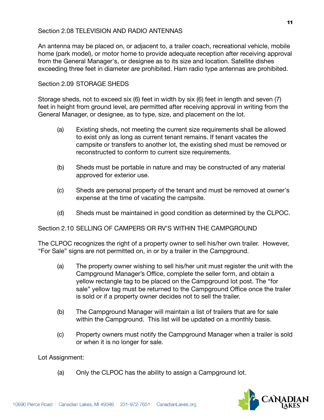## Section 2.08 TELEVISION AND RADIO ANTENNAS

An antenna may be placed on, or adjacent to, a trailer coach, recreational vehicle, mobile home (park model), or motor home to provide adequate reception after receiving approval from the General Manager's, or designee as to its size and location. Satellite dishes exceeding three feet in diameter are prohibited. Ham radio type antennas are prohibited.

## Section 2.09 STORAGE SHEDS

Storage sheds, not to exceed six (6) feet in width by six (6) feet in length and seven (7) feet in height from ground level, are permitted after receiving approval in writing from the General Manager, or designee, as to type, size, and placement on the lot.

- (a) Existing sheds, not meeting the current size requirements shall be allowed to exist only as long as current tenant remains. If tenant vacates the campsite or transfers to another lot, the existing shed must be removed or reconstructed to conform to current size requirements.
- (b) Sheds must be portable in nature and may be constructed of any material approved for exterior use.
- (c) Sheds are personal property of the tenant and must be removed at owner's expense at the time of vacating the campsite.
- (d) Sheds must be maintained in good condition as determined by the CLPOC.

Section 2.10 SELLING OF CAMPERS OR RV'S WITHIN THE CAMPGROUND

The CLPOC recognizes the right of a property owner to sell his/her own trailer. However, "For Sale" signs are not permitted on, in or by a trailer in the Campground.

- (a) The property owner wishing to sell his/her unit must register the unit with the Campground Manager's Office, complete the seller form, and obtain a yellow rectangle tag to be placed on the Campground lot post. The "for sale" yellow tag must be returned to the Campground Office once the trailer is sold or if a property owner decides not to sell the trailer.
- (b) The Campground Manager will maintain a list of trailers that are for sale within the Campground. This list will be updated on a monthly basis.
- (c) Property owners must notify the Campground Manager when a trailer is sold or when it is no longer for sale.

Lot Assignment:

(a) Only the CLPOC has the ability to assign a Campground lot.

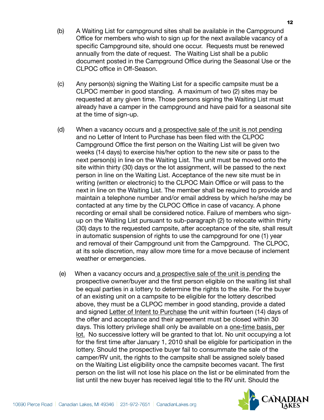- (b) A Waiting List for campground sites shall be available in the Campground Office for members who wish to sign up for the next available vacancy of a specific Campground site, should one occur. Requests must be renewed annually from the date of request. The Waiting List shall be a public document posted in the Campground Office during the Seasonal Use or the CLPOC office in Off-Season.
- (c) Any person(s) signing the Waiting List for a specific campsite must be a CLPOC member in good standing. A maximum of two (2) sites may be requested at any given time. Those persons signing the Waiting List must already have a camper in the campground and have paid for a seasonal site at the time of sign-up.
- (d) When a vacancy occurs and a prospective sale of the unit is not pending and no Letter of Intent to Purchase has been filed with the CLPOC Campground Office the first person on the Waiting List will be given two weeks (14 days) to exercise his/her option to the new site or pass to the next person(s) in line on the Waiting List. The unit must be moved onto the site within thirty (30) days or the lot assignment, will be passed to the next person in line on the Waiting List. Acceptance of the new site must be in writing (written or electronic) to the CLPOC Main Office or will pass to the next in line on the Waiting List. The member shall be required to provide and maintain a telephone number and/or email address by which he/she may be contacted at any time by the CLPOC Office in case of vacancy. A phone recording or email shall be considered notice. Failure of members who signup on the Waiting List pursuant to sub-paragraph (2) to relocate within thirty (30) days to the requested campsite, after acceptance of the site, shall result in automatic suspension of rights to use the campground for one (1) year and removal of their Campground unit from the Campground. The CLPOC, at its sole discretion, may allow more time for a move because of inclement weather or emergencies.
- (e) When a vacancy occurs and a prospective sale of the unit is pending the prospective owner/buyer and the first person eligible on the waiting list shall be equal parties in a lottery to determine the rights to the site. For the buyer of an existing unit on a campsite to be eligible for the lottery described above, they must be a CLPOC member in good standing, provide a dated and signed Letter of Intent to Purchase the unit within fourteen (14) days of the offer and acceptance and their agreement must be closed within 30 days. This lottery privilege shall only be available on a one-time basis, per lot. No successive lottery will be granted to that lot. No unit occupying a lot for the first time after January 1, 2010 shall be eligible for participation in the lottery. Should the prospective buyer fail to consummate the sale of the camper/RV unit, the rights to the campsite shall be assigned solely based on the Waiting List eligibility once the campsite becomes vacant. The first person on the list will not lose his place on the list or be eliminated from the list until the new buyer has received legal title to the RV unit. Should the

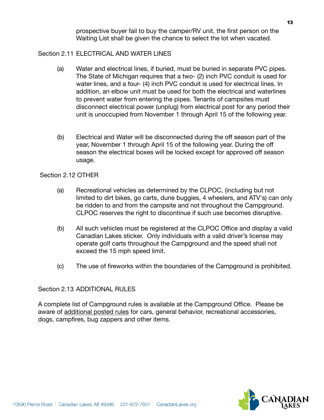prospective buyer fail to buy the camper/RV unit, the first person on the Waiting List shall be given the chance to select the lot when vacated.

## Section 2.11 FLECTRICAL AND WATER LINES

- (a) Water and electrical lines, if buried, must be buried in separate PVC pipes. The State of Michigan requires that a two- (2) inch PVC conduit is used for water lines, and a four- (4) inch PVC conduit is used for electrical lines. In addition, an elbow unit must be used for both the electrical and waterlines to prevent water from entering the pipes. Tenants of campsites must disconnect electrical power (unplug) from electrical post for any period their unit is unoccupied from November 1 through April 15 of the following year.
- (b) Electrical and Water will be disconnected during the off season part of the year, November 1 through April 15 of the following year. During the off season the electrical boxes will be locked except for approved off season usage.

Section 2.12 OTHER

- (a) Recreational vehicles as determined by the CLPOC, (including but not limited to dirt bikes, go carts, dune buggies, 4 wheelers, and ATV's) can only be ridden to and from the campsite and not throughout the Campground. CLPOC reserves the right to discontinue if such use becomes disruptive.
- (b) All such vehicles must be registered at the CLPOC Office and display a valid Canadian Lakes sticker. Only individuals with a valid driver's license may operate golf carts throughout the Campground and the speed shall not exceed the 15 mph speed limit.
- (c) The use of fireworks within the boundaries of the Campground is prohibited.

## Section 2.13 ADDITIONAL RULES

A complete list of Campground rules is available at the Campground Office. Please be aware of additional posted rules for cars, general behavior, recreational accessories, dogs, campfires, bug zappers and other items.

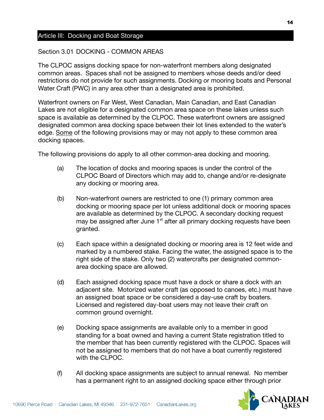## Article III: Docking and Boat Storage

#### Section 3.01 DOCKING - COMMON AREAS

The CLPOC assigns docking space for non-waterfront members along designated common areas. Spaces shall not be assigned to members whose deeds and/or deed restrictions do not provide for such assignments. Docking or mooring boats and Personal Water Craft (PWC) in any area other than a designated area is prohibited.

Waterfront owners on Far West, West Canadian, Main Canadian, and East Canadian Lakes are not eligible for a designated common area space on these lakes unless such space is available as determined by the CLPOC. These waterfront owners are assigned designated common area docking space between their lot lines extended to the water's edge. Some of the following provisions may or may not apply to these common area docking spaces.

The following provisions do apply to all other common-area docking and mooring.

- (a) The location of docks and mooring spaces is under the control of the CLPOC Board of Directors which may add to, change and/or re-designate any docking or mooring area.
- (b) Non-waterfront owners are restricted to one (1) primary common area docking or mooring space per lot unless additional dock or mooring spaces are available as determined by the CLPOC. A secondary docking request may be assigned after June 1<sup>st</sup> after all primary docking requests have been granted.
- (c) Each space within a designated docking or mooring area is 12 feet wide and marked by a numbered stake. Facing the water, the assigned space is to the right side of the stake. Only two (2) watercrafts per designated commonarea docking space are allowed.
- (d) Each assigned docking space must have a dock or share a dock with an adjacent site. Motorized water craft (as opposed to canoes, etc.) must have an assigned boat space or be considered a day-use craft by boaters. Licensed and registered day-boat users may not leave their craft on common ground overnight.
- (e) Docking space assignments are available only to a member in good standing for a boat owned and having a current State registration titled to the member that has been currently registered with the CLPOC. Spaces will not be assigned to members that do not have a boat currently registered with the CLPOC.
- (f) All docking space assignments are subject to annual renewal. No member has a permanent right to an assigned docking space either through prior

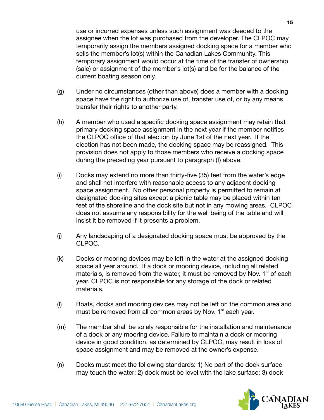use or incurred expenses unless such assignment was deeded to the assignee when the lot was purchased from the developer. The CLPOC may temporarily assign the members assigned docking space for a member who sells the member's lot(s) within the Canadian Lakes Community. This temporary assignment would occur at the time of the transfer of ownership (sale) or assignment of the member's lot(s) and be for the balance of the current boating season only.

- (g) Under no circumstances (other than above) does a member with a docking space have the right to authorize use of, transfer use of, or by any means transfer their rights to another party.
- (h) A member who used a specific docking space assignment may retain that primary docking space assignment in the next year if the member notifies the CLPOC office of that election by June 1st of the next year. If the election has not been made, the docking space may be reassigned. This provision does not apply to those members who receive a docking space during the preceding year pursuant to paragraph (f) above.
- (i) Docks may extend no more than thirty-five (35) feet from the water's edge and shall not interfere with reasonable access to any adjacent docking space assignment. No other personal property is permitted to remain at designated docking sites except a picnic table may be placed within ten feet of the shoreline and the dock site but not in any mowing areas. CLPOC does not assume any responsibility for the well being of the table and will insist it be removed if it presents a problem.
- (j) Any landscaping of a designated docking space must be approved by the CLPOC.
- (k) Docks or mooring devices may be left in the water at the assigned docking space all year around. If a dock or mooring device, including all related materials, is removed from the water, it must be removed by Nov.  $1<sup>st</sup>$  of each year. CLPOC is not responsible for any storage of the dock or related materials.
- (l) Boats, docks and mooring devices may not be left on the common area and must be removed from all common areas by Nov.  $1<sup>st</sup>$  each year.
- (m) The member shall be solely responsible for the installation and maintenance of a dock or any mooring device. Failure to maintain a dock or mooring device in good condition, as determined by CLPOC, may result in loss of space assignment and may be removed at the owner's expense.
- (n) Docks must meet the following standards: 1) No part of the dock surface may touch the water; 2) dock must be level with the lake surface; 3) dock

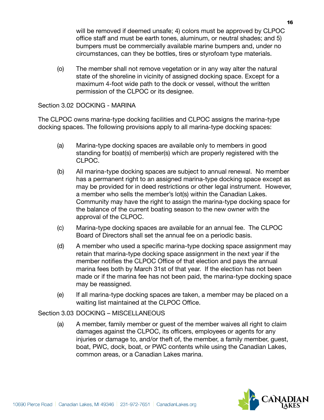will be removed if deemed unsafe; 4) colors must be approved by CLPOC office staff and must be earth tones, aluminum, or neutral shades; and 5) bumpers must be commercially available marine bumpers and, under no circumstances, can they be bottles, tires or styrofoam type materials.

(o) The member shall not remove vegetation or in any way alter the natural state of the shoreline in vicinity of assigned docking space. Except for a maximum 4-foot wide path to the dock or vessel, without the written permission of the CLPOC or its designee.

## Section 3.02 DOCKING - MARINA

The CLPOC owns marina-type docking facilities and CLPOC assigns the marina-type docking spaces. The following provisions apply to all marina-type docking spaces:

- (a) Marina-type docking spaces are available only to members in good standing for boat(s) of member(s) which are properly registered with the CLPOC.
- (b) All marina-type docking spaces are subject to annual renewal. No member has a permanent right to an assigned marina-type docking space except as may be provided for in deed restrictions or other legal instrument. However, a member who sells the member's lot(s) within the Canadian Lakes. Community may have the right to assign the marina-type docking space for the balance of the current boating season to the new owner with the approval of the CLPOC.
- (c) Marina-type docking spaces are available for an annual fee. The CLPOC Board of Directors shall set the annual fee on a periodic basis.
- (d) A member who used a specific marina-type docking space assignment may retain that marina-type docking space assignment in the next year if the member notifies the CLPOC Office of that election and pays the annual marina fees both by March 31st of that year. If the election has not been made or if the marina fee has not been paid, the marina-type docking space may be reassigned.
- (e) If all marina-type docking spaces are taken, a member may be placed on a waiting list maintained at the CLPOC Office.

## Section 3.03 DOCKING – MISCELLANEOUS

(a) A member, family member or guest of the member waives all right to claim damages against the CLPOC, its officers, employees or agents for any injuries or damage to, and/or theft of, the member, a family member, guest, boat, PWC, dock, boat, or PWC contents while using the Canadian Lakes, common areas, or a Canadian Lakes marina.

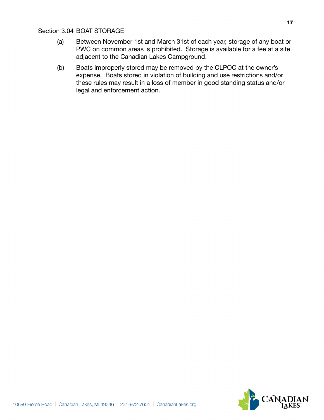## Section 3.04 BOAT STORAGE

- (a) Between November 1st and March 31st of each year, storage of any boat or PWC on common areas is prohibited. Storage is available for a fee at a site adjacent to the Canadian Lakes Campground.
- (b) Boats improperly stored may be removed by the CLPOC at the owner's expense. Boats stored in violation of building and use restrictions and/or these rules may result in a loss of member in good standing status and/or legal and enforcement action.

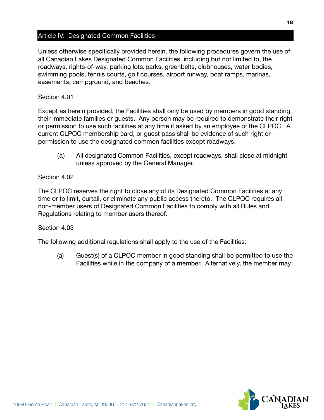## Article IV: Designated Common Facilities

Unless otherwise specifically provided herein, the following procedures govern the use of all Canadian Lakes Designated Common Facilities, including but not limited to, the roadways, rights-of-way, parking lots, parks, greenbelts, clubhouses, water bodies, swimming pools, tennis courts, golf courses, airport runway, boat ramps, marinas, easements, campground, and beaches.

## Section 4.01

Except as herein provided, the Facilities shall only be used by members in good standing, their immediate families or guests. Any person may be required to demonstrate their right or permission to use such facilities at any time if asked by an employee of the CLPOC. A current CLPOC membership card, or guest pass shall be evidence of such right or permission to use the designated common facilities except roadways.

(a) All designated Common Facilities, except roadways, shall close at midnight unless approved by the General Manager.

## Section 4.02

The CLPOC reserves the right to close any of its Designated Common Facilities at any time or to limit, curtail, or eliminate any public access thereto. The CLPOC requires all non-member users of Designated Common Facilities to comply with all Rules and Regulations relating to member users thereof.

#### Section 4.03

The following additional regulations shall apply to the use of the Facilities:

(a) Guest(s) of a CLPOC member in good standing shall be permitted to use the Facilities while in the company of a member. Alternatively, the member may

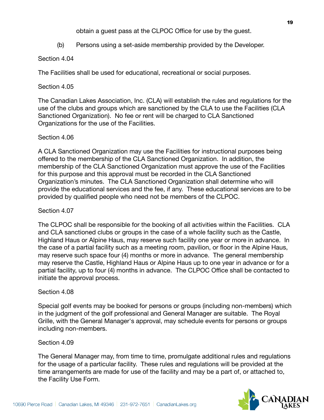obtain a guest pass at the CLPOC Office for use by the guest.

(b) Persons using a set-aside membership provided by the Developer.

## Section 4.04

The Facilities shall be used for educational, recreational or social purposes.

## Section 4.05

The Canadian Lakes Association, Inc. (CLA) will establish the rules and regulations for the use of the clubs and groups which are sanctioned by the CLA to use the Facilities (CLA Sanctioned Organization). No fee or rent will be charged to CLA Sanctioned Organizations for the use of the Facilities.

## Section 4.06

A CLA Sanctioned Organization may use the Facilities for instructional purposes being offered to the membership of the CLA Sanctioned Organization. In addition, the membership of the CLA Sanctioned Organization must approve the use of the Facilities for this purpose and this approval must be recorded in the CLA Sanctioned Organization's minutes. The CLA Sanctioned Organization shall determine who will provide the educational services and the fee, if any. These educational services are to be provided by qualified people who need not be members of the CLPOC.

## Section 4.07

The CLPOC shall be responsible for the booking of all activities within the Facilities. CLA and CLA sanctioned clubs or groups in the case of a whole facility such as the Castle, Highland Haus or Alpine Haus, may reserve such facility one year or more in advance. In the case of a partial facility such as a meeting room, pavilion, or floor in the Alpine Haus, may reserve such space four (4) months or more in advance. The general membership may reserve the Castle, Highland Haus or Alpine Haus up to one year in advance or for a partial facility, up to four (4) months in advance. The CLPOC Office shall be contacted to initiate the approval process.

## Section 4.08

Special golf events may be booked for persons or groups (including non-members) which in the judgment of the golf professional and General Manager are suitable. The Royal Grille, with the General Manager's approval, may schedule events for persons or groups including non-members.

## Section 4.09

The General Manager may, from time to time, promulgate additional rules and regulations for the usage of a particular facility. These rules and regulations will be provided at the time arrangements are made for use of the facility and may be a part of, or attached to, the Facility Use Form.

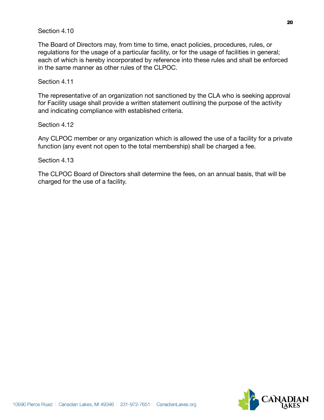## Section 4.10

The Board of Directors may, from time to time, enact policies, procedures, rules, or regulations for the usage of a particular facility, or for the usage of facilities in general; each of which is hereby incorporated by reference into these rules and shall be enforced in the same manner as other rules of the CLPOC.

## Section 4.11

The representative of an organization not sanctioned by the CLA who is seeking approval for Facility usage shall provide a written statement outlining the purpose of the activity and indicating compliance with established criteria.

Section 4.12

Any CLPOC member or any organization which is allowed the use of a facility for a private function (any event not open to the total membership) shall be charged a fee.

Section 4.13

The CLPOC Board of Directors shall determine the fees, on an annual basis, that will be charged for the use of a facility.

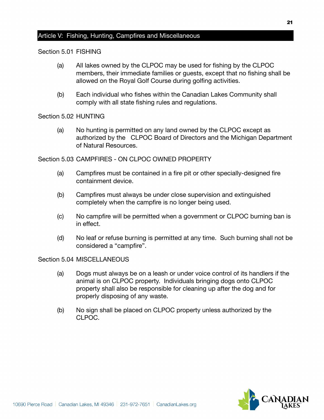## Article V: Fishing, Hunting, Campfires and Miscellaneous

#### Section 5.01 FISHING

- (a) All lakes owned by the CLPOC may be used for fishing by the CLPOC members, their immediate families or guests, except that no fishing shall be allowed on the Royal Golf Course during golfing activities.
- (b) Each individual who fishes within the Canadian Lakes Community shall comply with all state fishing rules and regulations.

#### Section 5.02 HUNTING

(a) No hunting is permitted on any land owned by the CLPOC except as authorized by the CLPOC Board of Directors and the Michigan Department of Natural Resources.

Section 5.03 CAMPFIRES - ON CLPOC OWNED PROPERTY

- (a) Campfires must be contained in a fire pit or other specially-designed fire containment device.
- (b) Campfires must always be under close supervision and extinguished completely when the campfire is no longer being used.
- (c) No campfire will be permitted when a government or CLPOC burning ban is in effect.
- (d) No leaf or refuse burning is permitted at any time. Such burning shall not be considered a "campfire".

Section 5.04 MISCELLANEOUS

- (a) Dogs must always be on a leash or under voice control of its handlers if the animal is on CLPOC property. Individuals bringing dogs onto CLPOC property shall also be responsible for cleaning up after the dog and for properly disposing of any waste.
- (b) No sign shall be placed on CLPOC property unless authorized by the CLPOC.

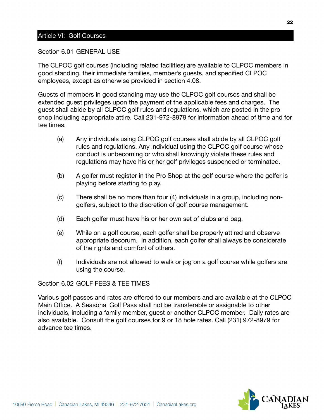## Article VI: Golf Courses

Section 6.01 GENERAL USE

The CLPOC golf courses (including related facilities) are available to CLPOC members in good standing, their immediate families, member's guests, and specified CLPOC employees, except as otherwise provided in section 4.08.

Guests of members in good standing may use the CLPOC golf courses and shall be extended guest privileges upon the payment of the applicable fees and charges. The guest shall abide by all CLPOC golf rules and regulations, which are posted in the pro shop including appropriate attire. Call 231-972-8979 for information ahead of time and for tee times.

- (a) Any individuals using CLPOC golf courses shall abide by all CLPOC golf rules and regulations. Any individual using the CLPOC golf course whose conduct is unbecoming or who shall knowingly violate these rules and regulations may have his or her golf privileges suspended or terminated.
- (b) A golfer must register in the Pro Shop at the golf course where the golfer is playing before starting to play.
- (c) There shall be no more than four (4) individuals in a group, including nongolfers, subject to the discretion of golf course management.
- (d) Each golfer must have his or her own set of clubs and bag.
- (e) While on a golf course, each golfer shall be properly attired and observe appropriate decorum. In addition, each golfer shall always be considerate of the rights and comfort of others.
- (f) Individuals are not allowed to walk or jog on a golf course while golfers are using the course.

Section 6.02 GOLF FEES & TEE TIMES

Various golf passes and rates are offered to our members and are available at the CLPOC Main Office. A Seasonal Golf Pass shall not be transferable or assignable to other individuals, including a family member, guest or another CLPOC member. Daily rates are also available. Consult the golf courses for 9 or 18 hole rates. Call (231) 972-8979 for advance tee times.

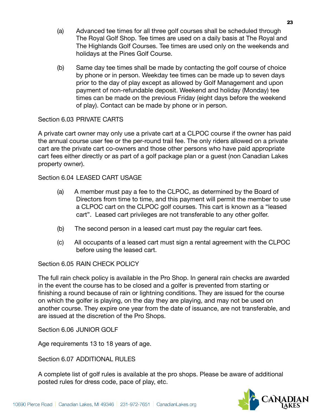- (a) Advanced tee times for all three golf courses shall be scheduled through The Royal Golf Shop. Tee times are used on a daily basis at The Royal and The Highlands Golf Courses. Tee times are used only on the weekends and holidays at the Pines Golf Course.
- (b) Same day tee times shall be made by contacting the golf course of choice by phone or in person. Weekday tee times can be made up to seven days prior to the day of play except as allowed by Golf Management and upon payment of non-refundable deposit. Weekend and holiday (Monday) tee times can be made on the previous Friday (eight days before the weekend of play). Contact can be made by phone or in person.

## Section 6.03 PRIVATE CARTS

A private cart owner may only use a private cart at a CLPOC course if the owner has paid the annual course user fee or the per-round trail fee. The only riders allowed on a private cart are the private cart co-owners and those other persons who have paid appropriate cart fees either directly or as part of a golf package plan or a guest (non Canadian Lakes property owner).

Section 6.04 LEASED CART USAGE

- (a) A member must pay a fee to the CLPOC, as determined by the Board of Directors from time to time, and this payment will permit the member to use a CLPOC cart on the CLPOC golf courses. This cart is known as a "leased cart". Leased cart privileges are not transferable to any other golfer.
- (b) The second person in a leased cart must pay the regular cart fees.
- (c) All occupants of a leased cart must sign a rental agreement with the CLPOC before using the leased cart.

Section 6.05 RAIN CHECK POLICY

The full rain check policy is available in the Pro Shop. In general rain checks are awarded in the event the course has to be closed and a golfer is prevented from starting or finishing a round because of rain or lightning conditions. They are issued for the course on which the golfer is playing, on the day they are playing, and may not be used on another course. They expire one year from the date of issuance, are not transferable, and are issued at the discretion of the Pro Shops.

Section 6.06 JUNIOR GOLF

Age requirements 13 to 18 years of age.

Section 6.07 ADDITIONAL RULES

A complete list of golf rules is available at the pro shops. Please be aware of additional posted rules for dress code, pace of play, etc.

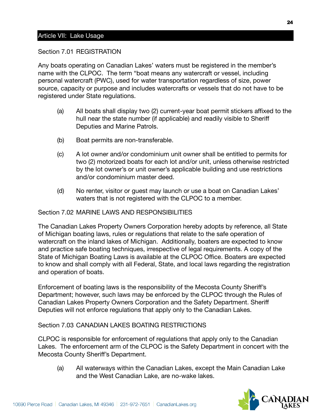## Article VII: Lake Usage

#### Section 7.01 REGISTRATION

Any boats operating on Canadian Lakes' waters must be registered in the member's name with the CLPOC. The term "boat means any watercraft or vessel, including personal watercraft (PWC), used for water transportation regardless of size, power source, capacity or purpose and includes watercrafts or vessels that do not have to be registered under State regulations.

- (a) All boats shall display two (2) current-year boat permit stickers affixed to the hull near the state number (if applicable) and readily visible to Sheriff Deputies and Marine Patrols.
- (b) Boat permits are non-transferable.
- (c) A lot owner and/or condominium unit owner shall be entitled to permits for two (2) motorized boats for each lot and/or unit, unless otherwise restricted by the lot owner's or unit owner's applicable building and use restrictions and/or condominium master deed.
- (d) No renter, visitor or guest may launch or use a boat on Canadian Lakes' waters that is not registered with the CLPOC to a member.

## Section 7.02 MARINE LAWS AND RESPONSIBILITIES

The Canadian Lakes Property Owners Corporation hereby adopts by reference, all State of Michigan boating laws, rules or regulations that relate to the safe operation of watercraft on the inland lakes of Michigan. Additionally, boaters are expected to know and practice safe boating techniques, irrespective of legal requirements. A copy of the State of Michigan Boating Laws is available at the CLPOC Office. Boaters are expected to know and shall comply with all Federal, State, and local laws regarding the registration and operation of boats.

Enforcement of boating laws is the responsibility of the Mecosta County Sheriff's Department; however, such laws may be enforced by the CLPOC through the Rules of Canadian Lakes Property Owners Corporation and the Safety Department. Sheriff Deputies will not enforce regulations that apply only to the Canadian Lakes.

## Section 7.03 CANADIAN LAKES BOATING RESTRICTIONS

CLPOC is responsible for enforcement of regulations that apply only to the Canadian Lakes. The enforcement arm of the CLPOC is the Safety Department in concert with the Mecosta County Sheriff's Department.

(a) All waterways within the Canadian Lakes, except the Main Canadian Lake and the West Canadian Lake, are no-wake lakes.

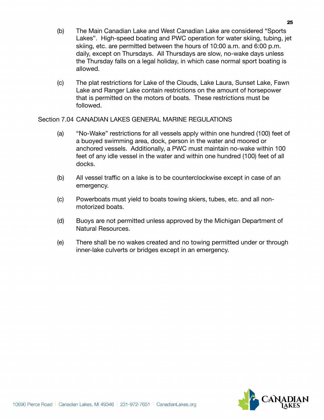- (b) The Main Canadian Lake and West Canadian Lake are considered "Sports Lakes". High-speed boating and PWC operation for water skiing, tubing, jet skiing, etc. are permitted between the hours of 10:00 a.m. and 6:00 p.m. daily, except on Thursdays. All Thursdays are slow, no-wake days unless the Thursday falls on a legal holiday, in which case normal sport boating is allowed.
- (c) The plat restrictions for Lake of the Clouds, Lake Laura, Sunset Lake, Fawn Lake and Ranger Lake contain restrictions on the amount of horsepower that is permitted on the motors of boats. These restrictions must be followed.

Section 7.04 CANADIAN LAKES GENERAL MARINE REGULATIONS

- (a) "No-Wake" restrictions for all vessels apply within one hundred (100) feet of a buoyed swimming area, dock, person in the water and moored or anchored vessels. Additionally, a PWC must maintain no-wake within 100 feet of any idle vessel in the water and within one hundred (100) feet of all docks.
- (b) All vessel traffic on a lake is to be counterclockwise except in case of an emergency.
- (c) Powerboats must yield to boats towing skiers, tubes, etc. and all nonmotorized boats.
- (d) Buoys are not permitted unless approved by the Michigan Department of Natural Resources.
- (e) There shall be no wakes created and no towing permitted under or through inner-lake culverts or bridges except in an emergency.

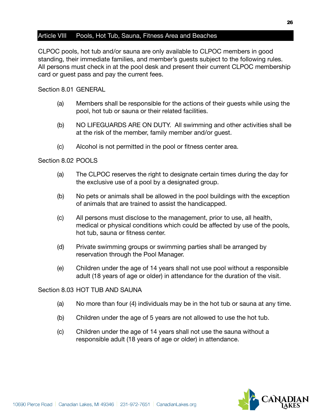## Article VIII Pools, Hot Tub, Sauna, Fitness Area and Beaches

CLPOC pools, hot tub and/or sauna are only available to CLPOC members in good standing, their immediate families, and member's guests subject to the following rules. All persons must check in at the pool desk and present their current CLPOC membership card or guest pass and pay the current fees.

#### Section 8.01 GENERAL

- (a) Members shall be responsible for the actions of their guests while using the pool, hot tub or sauna or their related facilities.
- (b) NO LIFEGUARDS ARE ON DUTY. All swimming and other activities shall be at the risk of the member, family member and/or guest.
- (c) Alcohol is not permitted in the pool or fitness center area.

## Section 8.02 POOLS

- (a) The CLPOC reserves the right to designate certain times during the day for the exclusive use of a pool by a designated group.
- (b) No pets or animals shall be allowed in the pool buildings with the exception of animals that are trained to assist the handicapped.
- (c) All persons must disclose to the management, prior to use, all health, medical or physical conditions which could be affected by use of the pools, hot tub, sauna or fitness center.
- (d) Private swimming groups or swimming parties shall be arranged by reservation through the Pool Manager.
- (e) Children under the age of 14 years shall not use pool without a responsible adult (18 years of age or older) in attendance for the duration of the visit.

#### Section 8.03 HOT TUB AND SAUNA

- (a) No more than four (4) individuals may be in the hot tub or sauna at any time.
- (b) Children under the age of 5 years are not allowed to use the hot tub.
- (c) Children under the age of 14 years shall not use the sauna without a responsible adult (18 years of age or older) in attendance.

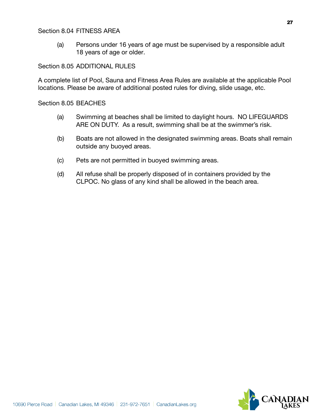## Section 8.04 FITNESS AREA

(a) Persons under 16 years of age must be supervised by a responsible adult 18 years of age or older.

## Section 8.05 ADDITIONAL RULES

A complete list of Pool, Sauna and Fitness Area Rules are available at the applicable Pool locations. Please be aware of additional posted rules for diving, slide usage, etc.

## Section 8.05 BEACHES

- (a) Swimming at beaches shall be limited to daylight hours. NO LIFEGUARDS ARE ON DUTY. As a result, swimming shall be at the swimmer's risk.
- (b) Boats are not allowed in the designated swimming areas. Boats shall remain outside any buoyed areas.
- (c) Pets are not permitted in buoyed swimming areas.
- (d) All refuse shall be properly disposed of in containers provided by the CLPOC. No glass of any kind shall be allowed in the beach area.

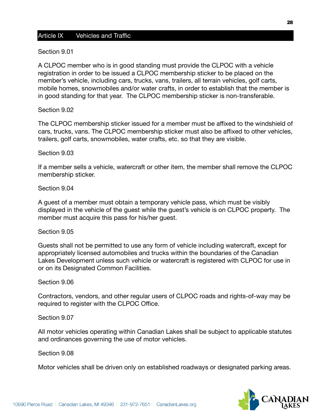## Article IX Vehicles and Traffic

#### Section 9.01

A CLPOC member who is in good standing must provide the CLPOC with a vehicle registration in order to be issued a CLPOC membership sticker to be placed on the member's vehicle, including cars, trucks, vans, trailers, all terrain vehicles, golf carts, mobile homes, snowmobiles and/or water crafts, in order to establish that the member is in good standing for that year. The CLPOC membership sticker is non-transferable.

#### Section 9.02

The CLPOC membership sticker issued for a member must be affixed to the windshield of cars, trucks, vans. The CLPOC membership sticker must also be affixed to other vehicles, trailers, golf carts, snowmobiles, water crafts, etc. so that they are visible.

#### Section 9.03

If a member sells a vehicle, watercraft or other item, the member shall remove the CLPOC membership sticker.

#### Section 9.04

A guest of a member must obtain a temporary vehicle pass, which must be visibly displayed in the vehicle of the guest while the guest's vehicle is on CLPOC property. The member must acquire this pass for his/her guest.

#### Section 9.05

Guests shall not be permitted to use any form of vehicle including watercraft, except for appropriately licensed automobiles and trucks within the boundaries of the Canadian Lakes Development unless such vehicle or watercraft is registered with CLPOC for use in or on its Designated Common Facilities.

#### Section 9.06

Contractors, vendors, and other regular users of CLPOC roads and rights-of-way may be required to register with the CLPOC Office.

#### Section 9.07

All motor vehicles operating within Canadian Lakes shall be subject to applicable statutes and ordinances governing the use of motor vehicles.

#### Section 9.08

Motor vehicles shall be driven only on established roadways or designated parking areas.

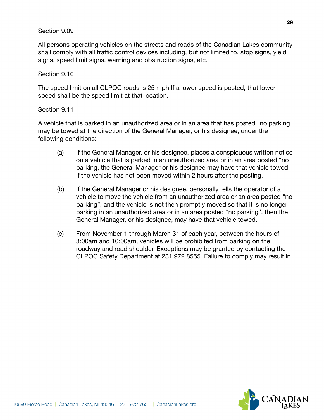## Section 9.09

All persons operating vehicles on the streets and roads of the Canadian Lakes community shall comply with all traffic control devices including, but not limited to, stop signs, yield signs, speed limit signs, warning and obstruction signs, etc.

#### Section 9.10

The speed limit on all CLPOC roads is 25 mph If a lower speed is posted, that lower speed shall be the speed limit at that location.

## Section 9.11

A vehicle that is parked in an unauthorized area or in an area that has posted "no parking may be towed at the direction of the General Manager, or his designee, under the following conditions:

- (a) If the General Manager, or his designee, places a conspicuous written notice on a vehicle that is parked in an unauthorized area or in an area posted "no parking, the General Manager or his designee may have that vehicle towed if the vehicle has not been moved within 2 hours after the posting.
- (b) If the General Manager or his designee, personally tells the operator of a vehicle to move the vehicle from an unauthorized area or an area posted "no parking", and the vehicle is not then promptly moved so that it is no longer parking in an unauthorized area or in an area posted "no parking", then the General Manager, or his designee, may have that vehicle towed.
- (c) From November 1 through March 31 of each year, between the hours of 3:00am and 10:00am, vehicles will be prohibited from parking on the roadway and road shoulder. Exceptions may be granted by contacting the CLPOC Safety Department at 231.972.8555. Failure to comply may result in

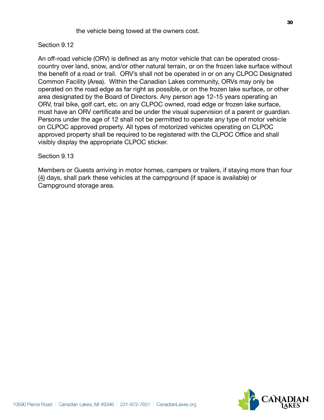## Section 9.12

An off-road vehicle (ORV) is defined as any motor vehicle that can be operated crosscountry over land, snow, and/or other natural terrain, or on the frozen lake surface without the benefit of a road or trail. ORV's shall not be operated in or on any CLPOC Designated Common Facility (Area). Within the Canadian Lakes community, ORVs may only be operated on the road edge as far right as possible, or on the frozen lake surface, or other area designated by the Board of Directors. Any person age 12-15 years operating an ORV, trail bike, golf cart, etc. on any CLPOC owned, road edge or frozen lake surface, must have an ORV certificate and be under the visual supervision of a parent or guardian. Persons under the age of 12 shall not be permitted to operate any type of motor vehicle on CLPOC approved property. All types of motorized vehicles operating on CLPOC approved property shall be required to be registered with the CLPOC Office and shall visibly display the appropriate CLPOC sticker.

#### Section 9.13

Members or Guests arriving in motor homes, campers or trailers, if staying more than four (4) days, shall park these vehicles at the campground (if space is available) or Campground storage area.



10690 Pierce Road | Canadian Lakes, MI 49346 | 231-972-7651 | Canadian Lakes.org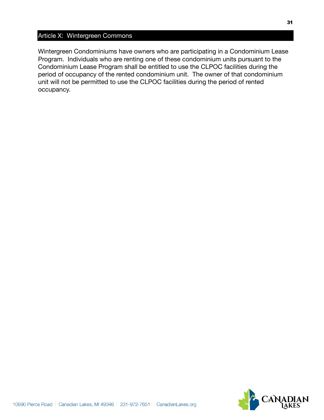## Article X: Wintergreen Commons

Wintergreen Condominiums have owners who are participating in a Condominium Lease Program. Individuals who are renting one of these condominium units pursuant to the Condominium Lease Program shall be entitled to use the CLPOC facilities during the period of occupancy of the rented condominium unit. The owner of that condominium unit will not be permitted to use the CLPOC facilities during the period of rented occupancy.

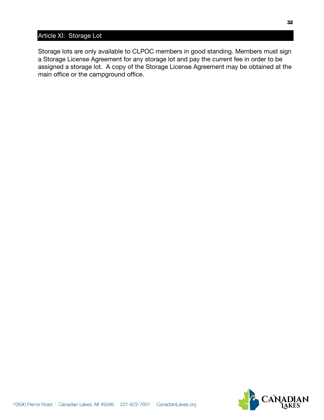## Article XI: Storage Lot

Storage lots are only available to CLPOC members in good standing. Members must sign a Storage License Agreement for any storage lot and pay the current fee in order to be assigned a storage lot. A copy of the Storage License Agreement may be obtained at the main office or the campground office.

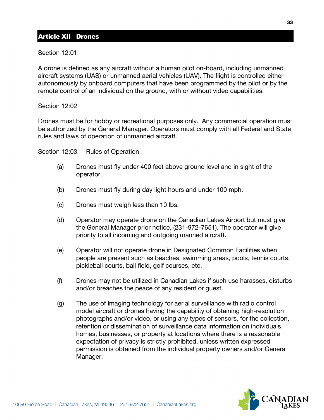## Article XII Drones

Section 12:01

A drone is defined as any aircraft without a human pilot on-board, including unmanned aircraft systems (UAS) or unmanned aerial vehicles (UAV). The flight is controlled either autonomously by onboard computers that have been programmed by the pilot or by the remote control of an individual on the ground, with or without video capabilities.

## Section 12:02

Drones must be for hobby or recreational purposes only. Any commercial operation must be authorized by the General Manager. Operators must comply with all Federal and State rules and laws of operation of unmanned aircraft.

Section 12:03 Rules of Operation

- (a) Drones must fly under 400 feet above ground level and in sight of the operator.
- (b) Drones must fly during day light hours and under 100 mph.
- (c) Drones must weigh less than 10 lbs.
- (d) Operator may operate drone on the Canadian Lakes Airport but must give the General Manager prior notice, (231-972-7651). The operator will give priority to all incoming and outgoing manned aircraft.
- (e) Operator will not operate drone in Designated Common Facilities when people are present such as beaches, swimming areas, pools, tennis courts, pickleball courts, ball field, golf courses, etc.
- (f) Drones may not be utilized in Canadian Lakes if such use harasses, disturbs and/or breaches the peace of any resident or guest.
- (g) The use of imaging technology for aerial surveillance with radio control model aircraft or drones having the capability of obtaining high-resolution photographs and/or video, or using any types of sensors, for the collection, retention or dissemination of surveillance data information on individuals, homes, businesses, or property at locations where there is a reasonable expectation of privacy is strictly prohibited, unless written expressed permission is obtained from the individual property owners and/or General Manager.

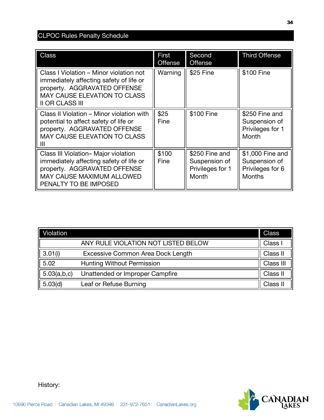## CLPOC Rules Penalty Schedule

| <b>Class</b>                                                                                                                                                                        | First<br><b>Offense</b> | Second<br><b>Offense</b>                                     | <b>Third Offense</b>                                                   |
|-------------------------------------------------------------------------------------------------------------------------------------------------------------------------------------|-------------------------|--------------------------------------------------------------|------------------------------------------------------------------------|
| Class I Violation - Minor violation not<br>immediately affecting safety of life or<br>property. AGGRAVATED OFFENSE<br><b>MAY CAUSE ELEVATION TO CLASS</b><br><b>II OR CLASS III</b> | Warning                 | \$25 Fine                                                    | \$100 Fine                                                             |
| Class II Violation – Minor violation with<br>potential to affect safety of life or<br>property. AGGRAVATED OFFENSE<br><b>MAY CAUSE ELEVATION TO CLASS</b>                           | \$25<br>Fine            | \$100 Fine                                                   | \$250 Fine and<br>Suspension of<br>Privileges for 1<br>Month           |
| Class III Violation-Major violation<br>immediately affecting safety of life or<br>property. AGGRAVATED OFFENSE<br><b>MAY CAUSE MAXIMUM ALLOWED</b><br>PENALTY TO BE IMPOSED         | \$100<br>Fine           | \$250 Fine and<br>Suspension of<br>Privileges for 1<br>Month | \$1,000 Fine and<br>Suspension of<br>Privileges for 6<br><b>Months</b> |

| Violation   |                                     | <b>Class</b> |
|-------------|-------------------------------------|--------------|
|             | ANY RULE VIOLATION NOT LISTED BELOW | Class I      |
| 3.01(i)     | Excessive Common Area Dock Length   | Class II     |
| 5.02        | <b>Hunting Without Permission</b>   | Class III    |
| 5.03(a,b,c) | Unattended or Improper Campfire     | Class II     |
| 5.03(d)     | Leaf or Refuse Burning              | Class II     |



History: